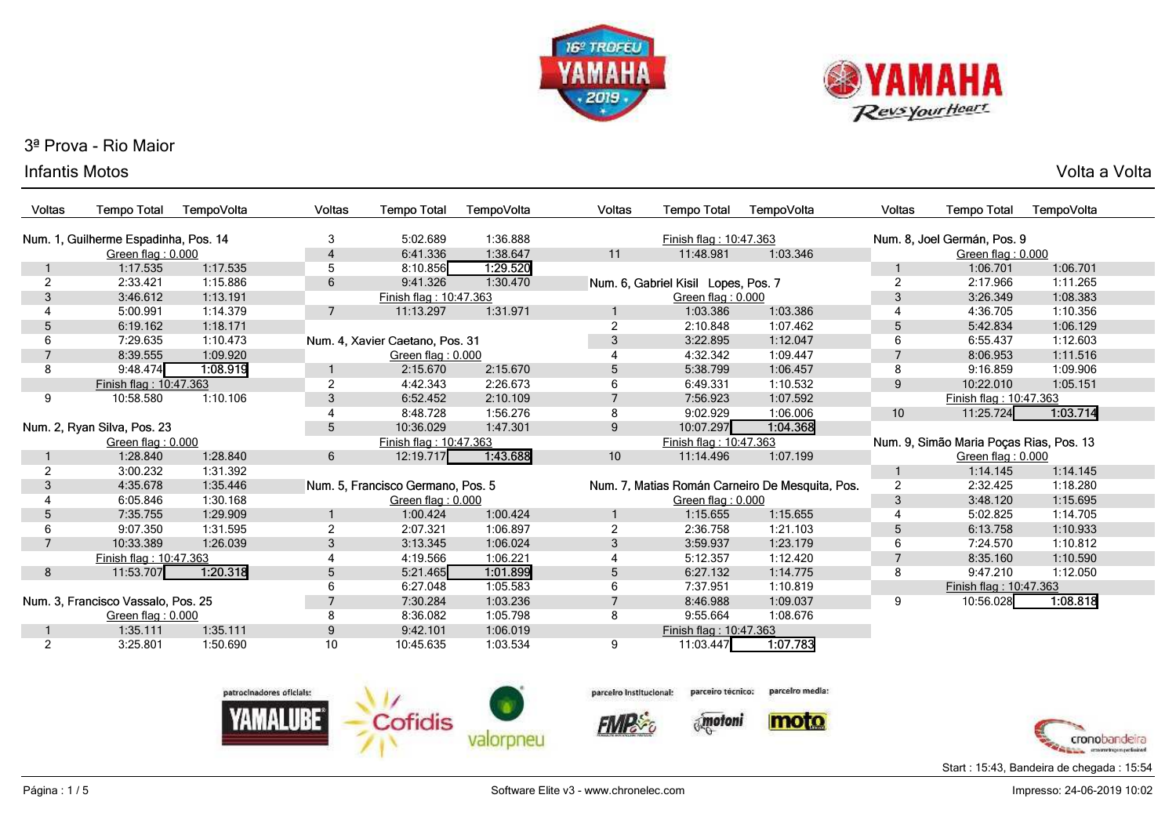



#### Infantis Motoss and the voltage of the voltage of the voltage of the voltage of the voltage of  $\mathsf{Volta}\xspace$  a Voltage of the voltage of  $\mathsf{Volta}\xspace$

| Voltas                               | <b>Tempo Total</b>                 | TempoVolta | Voltas               | <b>Tempo Total</b>                | TempoVolta | <b>Voltas</b>          | <b>Tempo Total</b>                  | TempoVolta                                      | Voltas                      | Tempo Total                             | TempoVolta |  |  |
|--------------------------------------|------------------------------------|------------|----------------------|-----------------------------------|------------|------------------------|-------------------------------------|-------------------------------------------------|-----------------------------|-----------------------------------------|------------|--|--|
| Num. 1, Guilherme Espadinha, Pos. 14 |                                    | 3          | 5:02.689<br>1:36.888 |                                   |            | Finish flag: 10:47.363 |                                     |                                                 | Num. 8, Joel Germán, Pos. 9 |                                         |            |  |  |
|                                      | Green flag: 0.000                  |            | $\overline{4}$       | 6:41.336                          | 1:38.647   | 11                     | 11:48.981                           | 1:03.346                                        |                             | Green flag: 0.000                       |            |  |  |
|                                      | 1:17.535                           | 1:17.535   | 5                    | 8:10.856                          | 1:29.520   |                        |                                     |                                                 |                             | 1:06.701                                | 1:06.701   |  |  |
| 2                                    | 2:33.421                           | 1:15.886   | 6                    | 9:41.326                          | 1:30.470   |                        | Num. 6, Gabriel Kisil Lopes, Pos. 7 |                                                 | $\overline{2}$              | 2:17.966                                | 1:11.265   |  |  |
| 3                                    | 3:46.612                           | 1:13.191   |                      | Finish flag: 10:47.363            |            |                        | Green flag: 0.000                   |                                                 | 3                           | 3:26.349                                | 1:08.383   |  |  |
|                                      | 5:00.991                           | 1:14.379   | $\overline{7}$       | 11:13.297                         | 1:31.971   |                        | 1:03.386                            | 1:03.386                                        | $\overline{4}$              | 4:36.705                                | 1:10.356   |  |  |
| 5                                    | 6:19.162                           | 1:18.171   |                      |                                   |            | $\overline{2}$         | 2:10.848                            | 1:07.462                                        | 5                           | 5:42.834                                | 1:06.129   |  |  |
| 6                                    | 7:29.635                           | 1:10.473   |                      | Num. 4, Xavier Caetano, Pos. 31   |            | 3                      | 3:22.895                            | 1:12.047                                        | 6                           | 6:55.437                                | 1:12.603   |  |  |
| $\overline{7}$                       | 8:39.555                           | 1:09.920   |                      | Green flag: 0.000                 |            |                        | 4:32.342                            | 1:09.447                                        | $\overline{7}$              | 8:06.953                                | 1:11.516   |  |  |
| 8                                    | 9:48.474                           | 1:08.919   |                      | 2:15.670                          | 2:15.670   | 5                      | 5:38.799                            | 1:06.457                                        | 8                           | 9:16.859                                | 1:09.906   |  |  |
|                                      | Finish flag: 10:47.363             |            | $\overline{2}$       | 4:42.343                          | 2:26.673   | 6                      | 6:49.331                            | 1:10.532                                        | 9                           | 10:22.010                               | 1:05.151   |  |  |
| 9                                    | 10:58.580                          | 1:10.106   | 3                    | 6:52.452                          | 2:10.109   |                        | 7:56.923                            | 1:07.592                                        |                             | Finish flag: 10:47.363                  |            |  |  |
|                                      |                                    |            | $\overline{4}$       | 8:48.728                          | 1:56.276   | 8                      | 9:02.929                            | 1:06.006                                        | 10                          | 11:25.724                               | 1:03.714   |  |  |
| Num. 2, Ryan Silva, Pos. 23          |                                    | 5          | 10:36.029            | 1:47.301                          | 9          | 10:07.297              | 1:04.368                            |                                                 |                             |                                         |            |  |  |
|                                      | Green flag: 0.000                  |            |                      | Finish flag: 10:47.363            |            |                        | Finish flag: 10:47.363              |                                                 |                             | Num. 9, Simão Maria Poças Rias, Pos. 13 |            |  |  |
|                                      | 1:28.840                           | 1:28.840   | 6                    | 12:19.717                         | 1:43.688   | 10                     | 11:14.496                           | 1:07.199                                        |                             | Green flag: 0.000                       |            |  |  |
| 2                                    | 3:00.232                           | 1:31.392   |                      |                                   |            |                        |                                     |                                                 | -1                          | 1:14.145                                | 1:14.145   |  |  |
| 3                                    | 4:35.678                           | 1:35.446   |                      | Num. 5. Francisco Germano. Pos. 5 |            |                        |                                     | Num. 7, Matias Román Carneiro De Mesquita, Pos. | $\overline{2}$              | 2:32.425                                | 1:18.280   |  |  |
|                                      | 6:05.846                           | 1:30.168   |                      | Green flag: 0.000                 |            |                        | Green flag: 0.000                   |                                                 | 3                           | 3:48.120                                | 1:15.695   |  |  |
| 5                                    | 7:35.755                           | 1:29.909   |                      | 1:00.424                          | 1:00.424   |                        | 1:15.655                            | 1:15.655                                        | $\overline{4}$              | 5:02.825                                | 1:14.705   |  |  |
| 6                                    | 9:07.350                           | 1:31.595   | 2                    | 2:07.321                          | 1:06.897   | 2                      | 2:36.758                            | 1:21.103                                        | 5                           | 6:13.758                                | 1:10.933   |  |  |
| $\overline{7}$                       | 10:33.389                          | 1:26.039   | 3                    | 3:13.345                          | 1:06.024   | 3                      | 3:59.937                            | 1:23.179                                        | 6                           | 7:24.570                                | 1:10.812   |  |  |
|                                      | Finish flag: 10:47.363             |            |                      | 4:19.566                          | 1:06.221   |                        | 5:12.357                            | 1:12.420                                        | $\overline{7}$              | 8:35.160                                | 1:10.590   |  |  |
| 8                                    | 11:53.707                          | 1:20.318   | 5                    | 5:21.465                          | 1:01.899   | 5                      | 6:27.132                            | 1:14.775                                        | 8                           | 9:47.210                                | 1:12.050   |  |  |
|                                      |                                    |            | 6                    | 6:27.048                          | 1:05.583   | 6                      | 7:37.951                            | 1:10.819                                        |                             | Finish flag: 10:47.363                  |            |  |  |
|                                      | Num. 3, Francisco Vassalo, Pos. 25 |            |                      | 7:30.284                          | 1:03.236   |                        | 8:46.988                            | 1:09.037                                        | 9                           | 10:56.028                               | 1:08.818   |  |  |
|                                      | Green flag: 0.000                  |            | 8                    | 8:36.082                          | 1:05.798   | 8                      | 9:55.664                            | 1:08.676                                        |                             |                                         |            |  |  |
|                                      | 1:35.111                           | 1:35.111   | 9                    | 9:42.101                          | 1:06.019   |                        | Finish flag: 10:47.363              |                                                 |                             |                                         |            |  |  |
| 2                                    | 3:25.801                           | 1:50.690   | 10                   | 10:45.635                         | 1:03.534   | 9                      | 11:03.447                           | 1:07.783                                        |                             |                                         |            |  |  |





**FIMP** &

 $\delta_{\rm s}$  motoni

parcelro media:





Start : 15:43, Bandeira de chegada : 15:54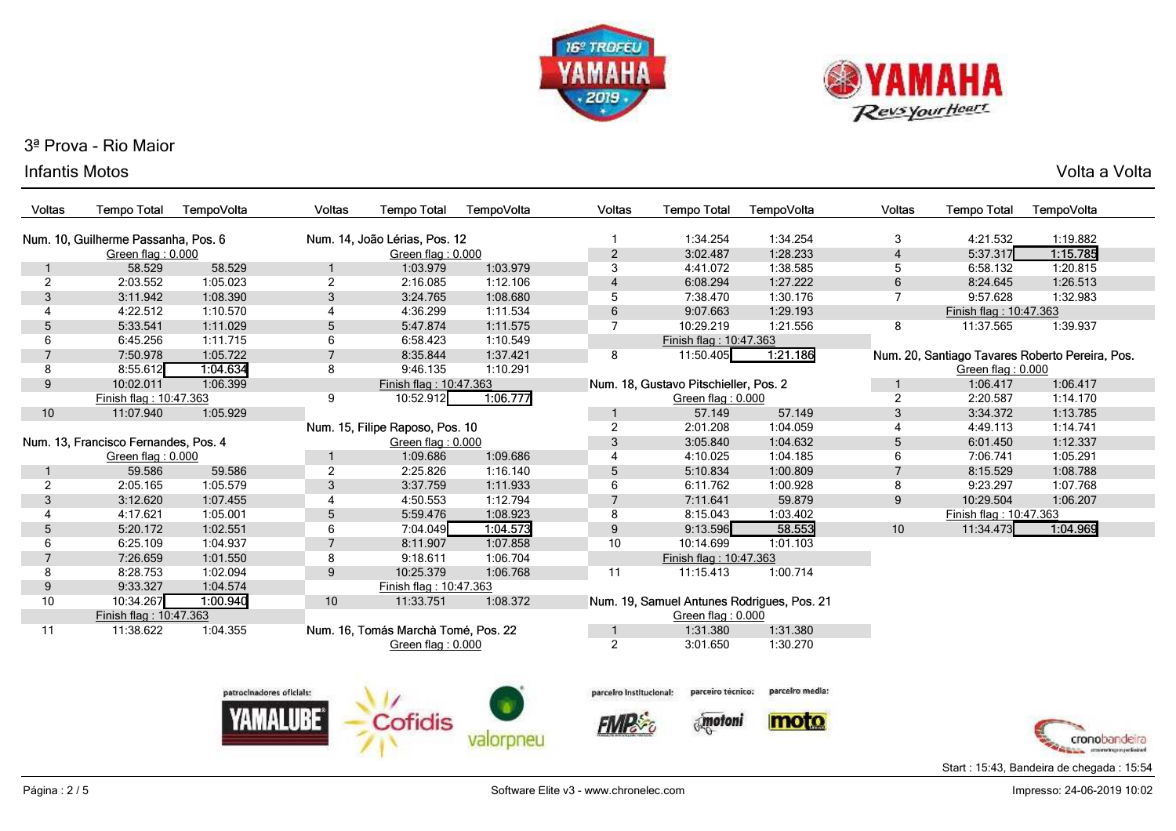



#### Infantis Motoss and the voltage of the voltage of the voltage of the voltage of the voltage of  $\mathsf{Volta}\xspace$  a Voltage of the voltage of  $\mathsf{Volta}\xspace$

| Voltas                               | <b>Tempo Total</b>                  | TempoVolta | <b>Voltas</b>            | <b>Tempo Total</b>                  | TempoVolta | <b>Voltas</b>           | <b>Tempo Total</b>                    | TempoVolta                                 | Voltas         | <b>Tempo Total</b>     | TempoVolta                                      |
|--------------------------------------|-------------------------------------|------------|--------------------------|-------------------------------------|------------|-------------------------|---------------------------------------|--------------------------------------------|----------------|------------------------|-------------------------------------------------|
|                                      | Num. 10, Guilherme Passanha, Pos. 6 |            |                          | Num. 14, João Lérias, Pos. 12       |            | 1                       | 1:34.254                              | 1:34.254                                   | 3              | 4:21.532               | 1:19.882                                        |
|                                      | Green flag: 0.000                   |            |                          | Green flag: 0.000                   |            | $\overline{c}$          | 3:02.487                              | 1:28.233                                   | $\overline{4}$ | 5:37.317               | 1:15.785                                        |
|                                      | 58.529                              | 58.529     |                          | 1:03.979                            | 1:03.979   | 3                       | 4:41.072                              | 1:38.585                                   | 5              | 6:58.132               | 1:20.815                                        |
| 2                                    | 2:03.552                            | 1:05.023   | $\overline{2}$           | 2:16.085                            | 1:12.106   | $\overline{4}$          | 6:08.294                              | 1:27.222                                   | 6              | 8:24.645               | 1:26.513                                        |
| 3                                    | 3:11.942                            | 1:08.390   | 3                        | 3:24.765                            | 1:08.680   | 5                       | 7:38.470                              | 1:30.176                                   | $\overline{7}$ | 9:57.628               | 1:32.983                                        |
| 4                                    | 4:22.512                            | 1:10.570   | 4                        | 4:36.299                            | 1:11.534   | 6                       | 9:07.663                              | 1:29.193                                   |                | Finish flag: 10:47.363 |                                                 |
| 5                                    | 5:33.541                            | 1:11.029   | 5                        | 5:47.874                            | 1:11.575   | $\overline{7}$          | 10:29.219                             | 1:21.556                                   | 8              | 11:37.565              | 1:39.937                                        |
| 6                                    | 6:45.256                            | 1:11.715   | 6                        | 6:58.423                            | 1:10.549   |                         | Finish flag: 10:47.363                |                                            |                |                        |                                                 |
| $\overline{7}$                       | 7:50.978                            | 1:05.722   | $\overline{7}$           | 8:35.844                            | 1:37.421   | 8                       | 11:50.405                             | 1:21.186                                   |                |                        | Num. 20, Santiago Tavares Roberto Pereira, Pos. |
| 8                                    | 8:55.612                            | 1:04.634   | 8                        | 9:46.135                            | 1:10.291   |                         |                                       |                                            |                | Green flag: 0.000      |                                                 |
| 9                                    | 10:02.011                           | 1:06.399   |                          | Finish flag: 10:47.363              |            |                         | Num. 18, Gustavo Pitschieller, Pos. 2 |                                            |                | 1:06.417               | 1:06.417                                        |
|                                      | Finish flag: 10:47.363              |            | 9                        | 10:52.912                           | 1:06.777   |                         | Green flag: 0.000                     |                                            | $\overline{2}$ | 2:20.587               | 1:14.170                                        |
| 10                                   | 11:07.940                           | 1:05.929   |                          |                                     |            | $\mathbf{1}$            | 57.149                                | 57.149                                     | 3              | 3:34.372               | 1:13.785                                        |
|                                      |                                     |            |                          | Num. 15, Filipe Raposo, Pos. 10     |            | $\overline{2}$          | 2:01.208                              | 1:04.059                                   | 4              | 4:49.113               | 1:14.741                                        |
| Num. 13, Francisco Fernandes, Pos. 4 |                                     |            | Green flag: 0.000        |                                     | 3          | 3:05.840                | 1:04.632                              | $\sqrt{5}$                                 | 6:01.450       | 1:12.337               |                                                 |
|                                      | Green flag: 0.000                   |            |                          | 1:09.686                            | 1:09.686   | 4                       | 4:10.025                              | 1:04.185                                   | 6              | 7:06.741               | 1:05.291                                        |
|                                      | 59.586                              | 59.586     | $\overline{2}$           | 2:25.826                            | 1:16.140   | 5                       | 5:10.834                              | 1:00.809                                   | $\overline{7}$ | 8:15.529               | 1:08.788                                        |
| $\overline{2}$                       | 2:05.165                            | 1:05.579   | 3                        | 3:37.759                            | 1:11.933   | 6                       | 6:11.762                              | 1:00.928                                   | 8              | 9:23.297               | 1:07.768                                        |
| 3                                    | 3:12.620                            | 1:07.455   | 4                        | 4:50.553                            | 1:12.794   | $\overline{7}$          | 7:11.641                              | 59.879                                     | 9              | 10:29.504              | 1:06.207                                        |
| 4                                    | 4:17.621                            | 1:05.001   | 5                        | 5:59.476                            | 1:08.923   | 8                       | 8:15.043                              | 1:03.402                                   |                | Finish flag: 10:47.363 |                                                 |
| 5                                    | 5:20.172                            | 1:02.551   | 6                        | 7:04.049                            | 1.04.573   | 9                       | 9:13.596                              | 58.553                                     | 10             | 11:34.473              | 1:04.969                                        |
| 6                                    | 6:25.109                            | 1:04.937   | $\overline{7}$           | 8:11.907                            | 1:07.858   | 10                      | 10:14.699                             | 1:01.103                                   |                |                        |                                                 |
| $\overline{7}$                       | 7:26.659                            | 1:01.550   | 8                        | 9:18.611                            | 1:06.704   |                         | Finish flag: 10:47.363                |                                            |                |                        |                                                 |
| 8                                    | 8:28.753                            | 1:02.094   | 9                        | 10:25.379                           | 1:06.768   | 11                      | 11:15.413                             | 1:00.714                                   |                |                        |                                                 |
| $9\,$                                | 9:33.327                            | 1:04.574   |                          | Finish flag: 10:47.363              |            |                         |                                       |                                            |                |                        |                                                 |
| 10                                   | 10:34.267                           | 1:00.940   | 10                       | 11:33.751                           | 1:08.372   |                         |                                       | Num. 19, Samuel Antunes Rodrigues, Pos. 21 |                |                        |                                                 |
|                                      | Finish flag: 10:47.363              |            |                          |                                     |            |                         | Green flag: 0.000                     |                                            |                |                        |                                                 |
| 11                                   | 11:38.622                           | 1:04.355   |                          | Num. 16, Tomás Marchà Tomé, Pos. 22 |            |                         | 1:31.380                              | 1:31.380                                   |                |                        |                                                 |
|                                      |                                     |            |                          | Green flag: 0.000                   |            | $\overline{2}$          | 3:01.650                              | 1:30.270                                   |                |                        |                                                 |
|                                      |                                     |            |                          |                                     |            |                         |                                       |                                            |                |                        |                                                 |
|                                      |                                     |            | patrocinadores oficials: |                                     |            | parceiro institucional: | parceiro tecnico:                     | parcelro media:                            |                |                        |                                                 |
|                                      |                                     |            |                          | Cofidis                             |            |                         | motoni                                |                                            |                |                        |                                                 |
|                                      |                                     |            |                          |                                     |            |                         |                                       | moto                                       |                |                        |                                                 |
|                                      |                                     |            |                          |                                     |            |                         |                                       |                                            |                |                        | cronobandera<br>crossore tracers neclissicant   |



Start : 15:43, Bandeira de chegada : 15:54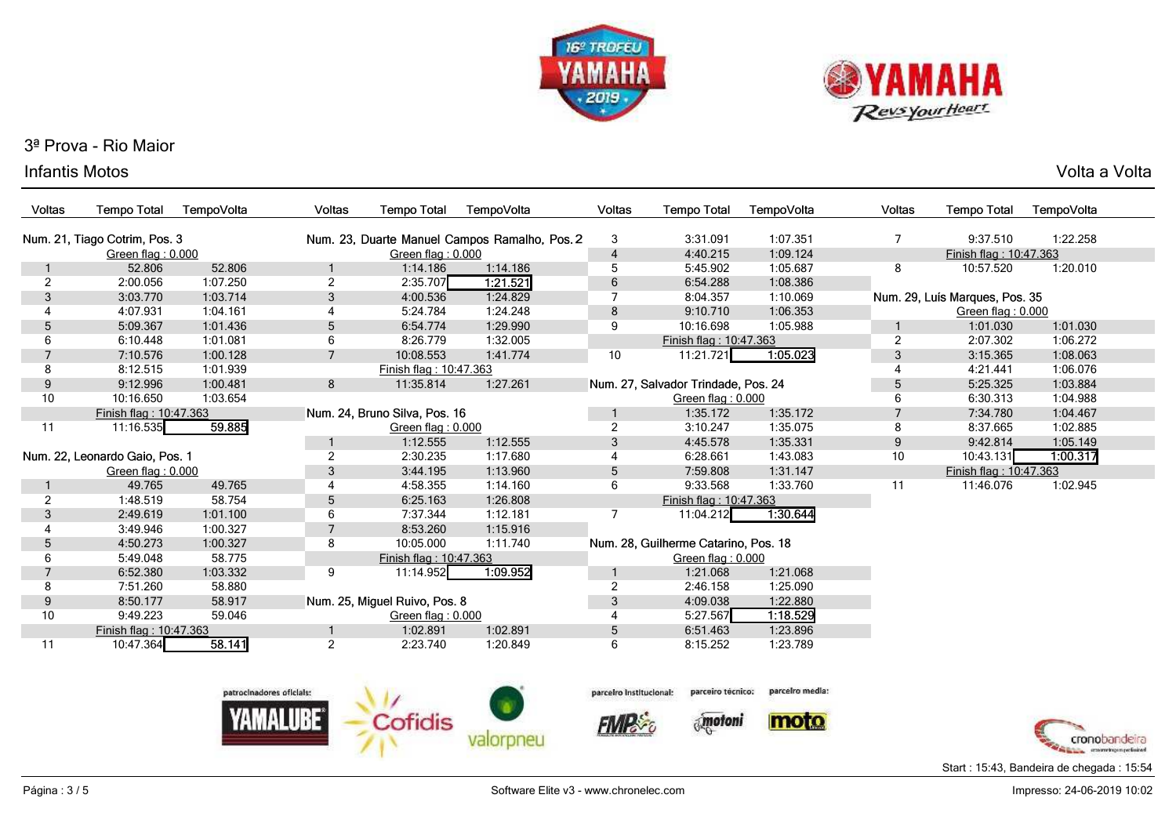



#### Infantis Motoss and the voltage of the voltage of the voltage of the voltage of the voltage of  $\mathsf{Volta}\xspace$  a Voltage of the voltage of  $\mathsf{Volta}\xspace$

| <b>Voltas</b>  | <b>Tempo Total</b>             | TempoVolta | <b>Voltas</b>  | <b>Tempo Total</b>            | TempoVolta                                    | <b>Voltas</b>  | <b>Tempo Total</b>                   | TempoVolta | <b>Voltas</b>  | <b>Tempo Total</b>             | TempoVolta |
|----------------|--------------------------------|------------|----------------|-------------------------------|-----------------------------------------------|----------------|--------------------------------------|------------|----------------|--------------------------------|------------|
|                | Num. 21, Tiago Cotrim, Pos. 3  |            |                |                               | Num. 23, Duarte Manuel Campos Ramalho, Pos. 2 | 3              | 3:31.091                             | 1:07.351   | 7              | 9:37.510                       | 1:22.258   |
|                | Green flag: 0.000              |            |                | Green flag: 0.000             |                                               | $\overline{4}$ | 4:40.215                             | 1:09.124   |                | Finish flag: 10:47.363         |            |
|                | 52.806                         | 52.806     | 1              | 1:14.186                      | 1:14.186                                      | 5              | 5:45.902                             | 1:05.687   | 8              | 10:57.520                      | 1:20.010   |
| $\overline{2}$ | 2:00.056                       | 1:07.250   | $\overline{2}$ | 2:35.707                      | 1.21.521                                      | 6              | 6:54.288                             | 1:08.386   |                |                                |            |
| 3              | 3:03.770                       | 1:03.714   | 3              | 4:00.536                      | 1:24.829                                      |                | 8:04.357                             | 1:10.069   |                | Num. 29, Luís Marques, Pos. 35 |            |
|                | 4:07.931                       | 1:04.161   |                | 5:24.784                      | 1:24.248                                      | 8              | 9:10.710                             | 1:06.353   |                | Green flag: 0.000              |            |
| 5              | 5:09.367                       | 1:01.436   | 5              | 6:54.774                      | 1:29.990                                      | 9              | 10:16.698                            | 1:05.988   |                | 1:01.030                       | 1:01.030   |
| 6              | 6:10.448                       | 1:01.081   | 6              | 8:26.779                      | 1:32.005                                      |                | Finish flag: 10:47.363               |            | $\overline{2}$ | 2:07.302                       | 1:06.272   |
|                | 7:10.576                       | 1:00.128   | $\overline{7}$ | 10:08.553                     | 1:41.774                                      | 10             | 11:21.721                            | 1:05.023   | 3              | 3:15.365                       | 1:08.063   |
| 8              | 8:12.515                       | 1:01.939   |                | Finish flag: 10:47.363        |                                               |                |                                      |            |                | 4:21.441                       | 1:06.076   |
| 9              | 9:12.996                       | 1:00.481   | 8              | 11:35.814                     | 1:27.261                                      |                | Num. 27, Salvador Trindade, Pos. 24  |            | 5              | 5:25.325                       | 1:03.884   |
| 10             | 10:16.650                      | 1:03.654   |                |                               |                                               |                | Green flag: 0.000                    |            | 6              | 6:30.313                       | 1:04.988   |
|                | Finish flag: 10:47.363         |            |                | Num. 24, Bruno Silva, Pos. 16 |                                               |                | 1:35.172                             | 1:35.172   |                | 7:34.780                       | 1:04.467   |
| 11             | 11:16.535                      | 59.885     |                | Green flag: 0.000             |                                               | $\overline{2}$ | 3:10.247                             | 1:35.075   | 8              | 8:37.665                       | 1:02.885   |
|                |                                |            | 1              | 1:12.555                      | 1:12.555                                      | 3              | 4:45.578                             | 1:35.331   | 9              | 9:42.814                       | 1:05.149   |
|                | Num. 22, Leonardo Gaio, Pos. 1 |            | 2              | 2:30.235                      | 1:17.680                                      |                | 6:28.661                             | 1:43.083   | 10             | 10:43.131                      | 1:00.317   |
|                | Green flag: 0.000              |            | 3              | 3:44.195                      | 1:13.960                                      | 5              | 7:59.808                             | 1:31.147   |                | Finish flag: 10:47.363         |            |
|                | 49.765                         | 49.765     |                | 4:58.355                      | 1:14.160                                      | 6              | 9:33.568                             | 1:33.760   | 11             | 11:46.076                      | 1:02.945   |
| $\overline{2}$ | 1:48.519                       | 58.754     | 5              | 6:25.163                      | 1:26.808                                      |                | Finish flag: 10:47.363               |            |                |                                |            |
| 3              | 2:49.619                       | 1:01.100   | 6              | 7:37.344                      | 1:12.181                                      |                | 11:04.212                            | 1:30.644   |                |                                |            |
|                | 3:49.946                       | 1:00.327   |                | 8:53.260                      | 1:15.916                                      |                |                                      |            |                |                                |            |
| 5              | 4:50.273                       | 1:00.327   | 8              | 10:05.000                     | 1:11.740                                      |                | Num. 28, Guilherme Catarino, Pos. 18 |            |                |                                |            |
| 6              | 5:49.048                       | 58.775     |                | Finish flag: 10:47.363        |                                               |                | Green flag: 0.000                    |            |                |                                |            |
|                | 6:52.380                       | 1:03.332   | 9              | 11:14.952                     | 1:09.952                                      |                | 1:21.068                             | 1:21.068   |                |                                |            |
| 8              | 7:51.260                       | 58.880     |                |                               |                                               | $\overline{2}$ | 2:46.158                             | 1:25.090   |                |                                |            |
| 9              | 8:50.177                       | 58.917     |                | Num. 25, Miguel Ruivo, Pos. 8 |                                               | 3              | 4:09.038                             | 1:22.880   |                |                                |            |
| 10             | 9:49.223                       | 59.046     |                | Green flag: 0.000             |                                               |                | 5:27.567                             | 1.18.529   |                |                                |            |
|                | Finish flag: 10:47.363         |            |                | 1:02.891                      | 1:02.891                                      | 5              | 6:51.463                             | 1:23.896   |                |                                |            |
| 11             | 10:47.364                      | 58.141     | 2              | 2:23.740                      | 1:20.849                                      | 6              | 8:15.252                             | 1:23.789   |                |                                |            |



parceiro técnico: parceiro Institucional:

**FIMP** &



parcelro media:



**Strange conversements** Start : 15:43, Bandeira de chegada : 15:54

cronobandeira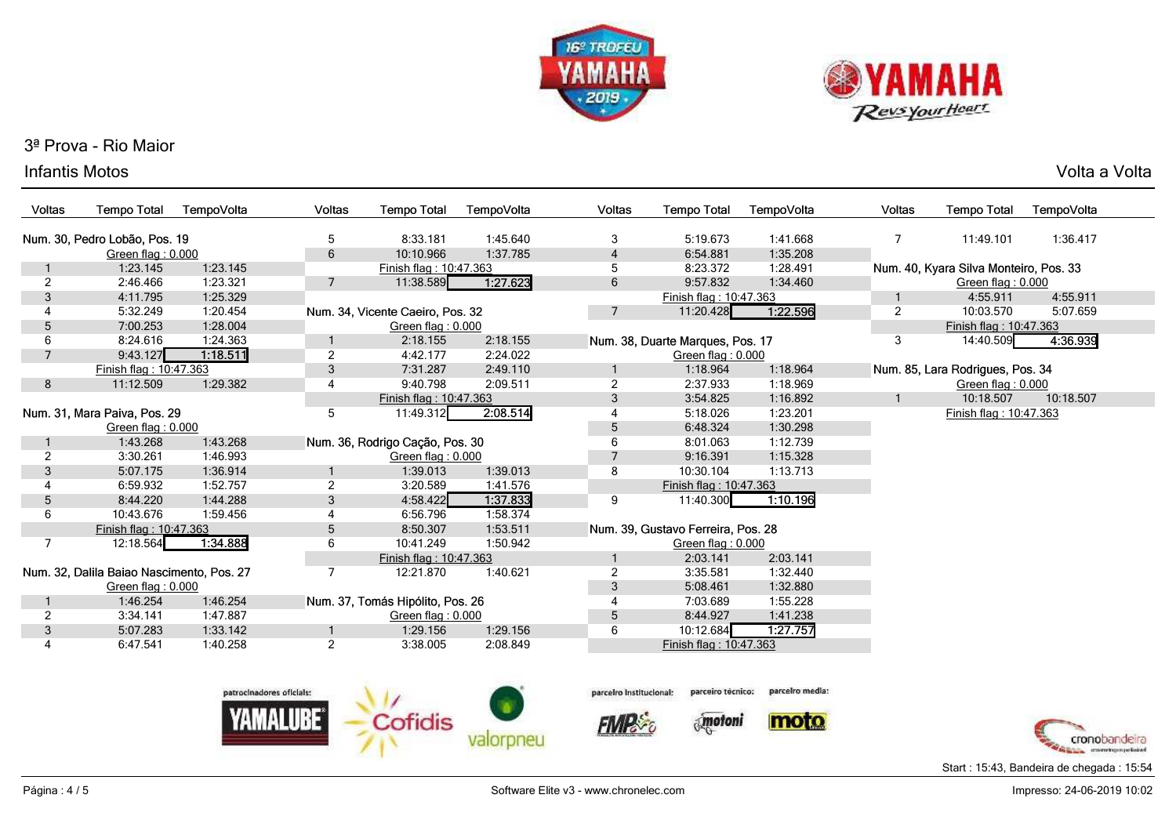



#### Infantis Motos

| 'olta a Volta<br>Volta |
|------------------------|
|                        |

| <b>Voltas</b>  | <b>Tempo Total</b>                        | TempoVolta | Voltas          | <b>Tempo Total</b>               | TempoVolta | Voltas         | <b>Tempo Total</b>                 | TempoVolta | Voltas         | <b>Tempo Total</b>                     | TempoVolta |
|----------------|-------------------------------------------|------------|-----------------|----------------------------------|------------|----------------|------------------------------------|------------|----------------|----------------------------------------|------------|
|                | Num. 30, Pedro Lobão, Pos. 19             |            | 5               | 8:33.181                         | 1:45.640   | 3              | 5:19.673                           | 1:41.668   |                | 11:49.101                              | 1:36.417   |
|                | Green flag: 0.000                         |            | 6               | 10:10.966                        | 1:37.785   | $\overline{4}$ | 6:54.881                           | 1:35.208   |                |                                        |            |
|                | 1:23.145                                  | 1:23.145   |                 | Finish flag: 10:47.363           |            | 5              | 8:23.372                           | 1:28.491   |                | Num. 40, Kyara Silva Monteiro, Pos. 33 |            |
| $\overline{2}$ | 2:46.466                                  | 1:23.321   | 7               | 11:38.589                        | 1:27.623   | 6              | 9:57.832                           | 1:34.460   |                | Green flag: 0.000                      |            |
| 3              | 4:11.795                                  | 1:25.329   |                 |                                  |            |                | Finish flag: 10:47.363             |            |                | 4:55.911                               | 4:55.911   |
|                | 5:32.249                                  | 1:20.454   |                 | Num. 34, Vicente Caeiro, Pos. 32 |            |                | 11:20.428                          | 1:22.596   | $\overline{2}$ | 10:03.570                              | 5:07.659   |
| 5              | 7:00.253                                  | 1:28.004   |                 | Green flag: 0.000                |            |                |                                    |            |                | Finish flag: 10:47.363                 |            |
| 6              | 8:24.616                                  | 1:24.363   |                 | 2:18.155                         | 2:18.155   |                | Num. 38, Duarte Marques, Pos. 17   |            | 3              | 14:40.509                              | 4:36.939   |
| $\overline{7}$ | 9:43.127                                  | 1:18.511   | $\overline{2}$  | 4:42.177                         | 2:24.022   |                | Green flag: 0.000                  |            |                |                                        |            |
|                | Finish flag: 10:47.363                    |            | 3               | 7:31.287                         | 2:49.110   |                | 1:18.964                           | 1:18.964   |                | Num. 85, Lara Rodrigues, Pos. 34       |            |
| 8              | 11:12.509                                 | 1:29.382   | $\overline{4}$  | 9:40.798                         | 2:09.511   | $\overline{2}$ | 2:37.933                           | 1:18.969   |                | Green flag: 0.000                      |            |
|                |                                           |            |                 | Finish flag: 10:47.363           |            | 3              | 3:54.825                           | 1:16.892   |                | 10:18.507                              | 10:18.507  |
|                | Num. 31, Mara Paiva, Pos. 29              |            | 5               | 11:49.312                        | 2:08.514   |                | 5:18.026                           | 1:23.201   |                | Finish flag: 10:47.363                 |            |
|                | Green flag: 0.000                         |            |                 |                                  |            | 5              | 6:48.324                           | 1:30.298   |                |                                        |            |
|                | 1:43.268                                  | 1:43.268   |                 | Num. 36, Rodrigo Cação, Pos. 30  |            | 6              | 8:01.063                           | 1:12.739   |                |                                        |            |
| 2              | 3:30.261                                  | 1:46.993   |                 | Green flag: 0.000                |            |                | 9:16.391                           | 1:15.328   |                |                                        |            |
| 3              | 5:07.175                                  | 1:36.914   |                 | 1:39.013                         | 1:39.013   | 8              | 10:30.104                          | 1:13.713   |                |                                        |            |
|                | 6:59.932                                  | 1:52.757   | $\overline{2}$  | 3:20.589                         | 1:41.576   |                | Finish flag: 10:47.363             |            |                |                                        |            |
| 5              | 8:44.220                                  | 1:44.288   | 3               | 4:58.422                         | 1:37.833   | 9              | 11:40.300                          | 1:10.196   |                |                                        |            |
| 6              | 10:43.676                                 | 1:59.456   | 4               | 6:56.796                         | 1:58.374   |                |                                    |            |                |                                        |            |
|                | Finish flag: 10:47.363                    |            | $5\phantom{.0}$ | 8:50.307                         | 1:53.511   |                | Num. 39, Gustavo Ferreira, Pos. 28 |            |                |                                        |            |
|                | 12:18.564                                 | 1:34.888   | 6               | 10:41.249                        | 1:50.942   |                | Green flag: 0.000                  |            |                |                                        |            |
|                |                                           |            |                 | Finish flag: 10:47.363           |            |                | 2:03.141                           | 2:03.141   |                |                                        |            |
|                | Num. 32, Dalila Baiao Nascimento, Pos. 27 |            |                 | 12:21.870                        | 1:40.621   | $\overline{2}$ | 3:35.581                           | 1:32.440   |                |                                        |            |
|                | Green flag: 0.000                         |            |                 |                                  |            | 3              | 5:08.461                           | 1:32.880   |                |                                        |            |
|                | 1:46.254                                  | 1:46.254   |                 | Num. 37, Tomás Hipólito, Pos. 26 |            |                | 7:03.689                           | 1:55.228   |                |                                        |            |
| $\overline{2}$ | 3:34.141                                  | 1:47.887   |                 | Green flag: 0.000                |            | 5              | 8:44.927                           | 1:41.238   |                |                                        |            |
| 3              | 5:07.283                                  | 1:33.142   |                 | 1:29.156                         | 1:29.156   | 6              | 10:12.684                          | 1:27.757   |                |                                        |            |
| 4              | 6:47.541                                  | 1:40.258   | $\overline{2}$  | 3:38.005                         | 2:08.849   |                | Finish flag: 10:47.363             |            |                |                                        |            |
|                |                                           |            |                 |                                  |            |                |                                    |            |                |                                        |            |





**FIMPS** 



 $\delta_{\rm s}$  motoni





Start : 15:43, Bandeira de chegada : 15:54